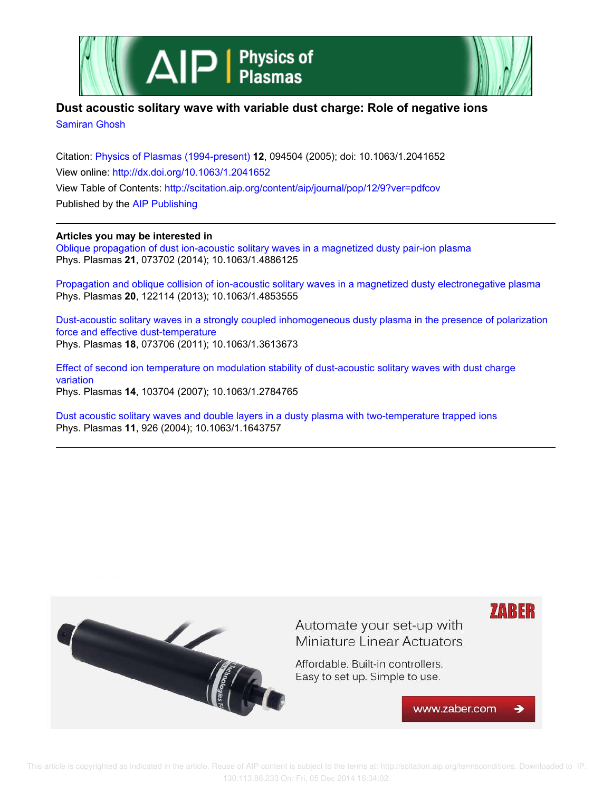



## **Dust acoustic solitary wave with variable dust charge: Role of negative ions**

Samiran Ghosh

Citation: Physics of Plasmas (1994-present) **12**, 094504 (2005); doi: 10.1063/1.2041652 View online: http://dx.doi.org/10.1063/1.2041652 View Table of Contents: http://scitation.aip.org/content/aip/journal/pop/12/9?ver=pdfcov Published by the AIP Publishing

### **Articles you may be interested in**

Oblique propagation of dust ion-acoustic solitary waves in a magnetized dusty pair-ion plasma Phys. Plasmas **21**, 073702 (2014); 10.1063/1.4886125

Propagation and oblique collision of ion-acoustic solitary waves in a magnetized dusty electronegative plasma Phys. Plasmas **20**, 122114 (2013); 10.1063/1.4853555

Dust-acoustic solitary waves in a strongly coupled inhomogeneous dusty plasma in the presence of polarization force and effective dust-temperature Phys. Plasmas **18**, 073706 (2011); 10.1063/1.3613673

Effect of second ion temperature on modulation stability of dust-acoustic solitary waves with dust charge variation Phys. Plasmas **14**, 103704 (2007); 10.1063/1.2784765

Dust acoustic solitary waves and double layers in a dusty plasma with two-temperature trapped ions Phys. Plasmas **11**, 926 (2004); 10.1063/1.1643757

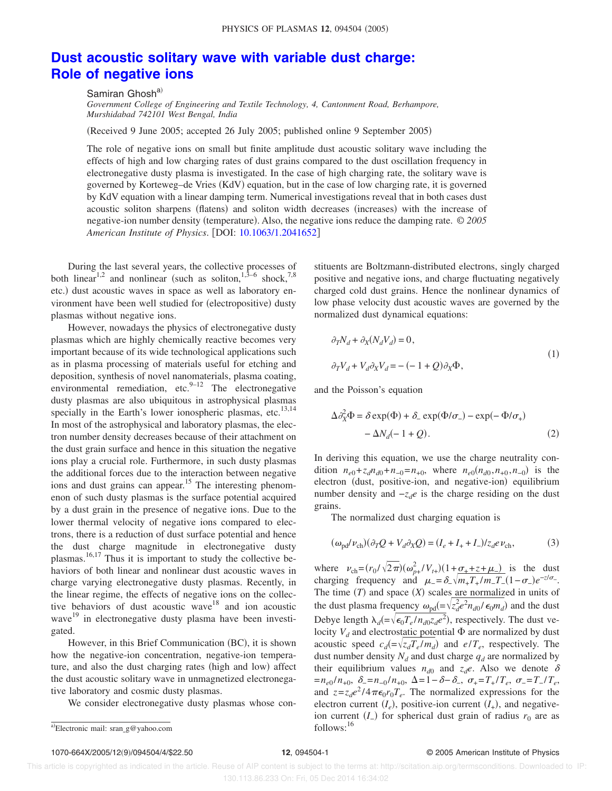# **Dust acoustic solitary wave with variable dust charge: Role of negative ions**

Samiran Ghosh<sup>a)</sup>

*Government College of Engineering and Textile Technology, 4, Cantonment Road, Berhampore, Murshidabad 742101 West Bengal, India*

Received 9 June 2005; accepted 26 July 2005; published online 9 September 2005-

The role of negative ions on small but finite amplitude dust acoustic solitary wave including the effects of high and low charging rates of dust grains compared to the dust oscillation frequency in electronegative dusty plasma is investigated. In the case of high charging rate, the solitary wave is governed by Korteweg–de Vries (KdV) equation, but in the case of low charging rate, it is governed by KdV equation with a linear damping term. Numerical investigations reveal that in both cases dust acoustic soliton sharpens (flatens) and soliton width decreases (increases) with the increase of negative-ion number density (temperature). Also, the negative ions reduce the damping rate. © 2005 *American Institute of Physics*. DOI: 10.1063/1.2041652

During the last several years, the collective processes of both linear<sup>1,2</sup> and nonlinear (such as soliton,<sup>1,3–6</sup> shock,<sup>7,8</sup> etc.) dust acoustic waves in space as well as laboratory environment have been well studied for (electropositive) dusty plasmas without negative ions.

However, nowadays the physics of electronegative dusty plasmas which are highly chemically reactive becomes very important because of its wide technological applications such as in plasma processing of materials useful for etching and deposition, synthesis of novel nanomaterials, plasma coating, environmental remediation, etc. $9-12$  The electronegative dusty plasmas are also ubiquitous in astrophysical plasmas specially in the Earth's lower ionospheric plasmas, etc.<sup>13,14</sup> In most of the astrophysical and laboratory plasmas, the electron number density decreases because of their attachment on the dust grain surface and hence in this situation the negative ions play a crucial role. Furthermore, in such dusty plasmas the additional forces due to the interaction between negative ions and dust grains can appear.<sup>15</sup> The interesting phenomenon of such dusty plasmas is the surface potential acquired by a dust grain in the presence of negative ions. Due to the lower thermal velocity of negative ions compared to electrons, there is a reduction of dust surface potential and hence the dust charge magnitude in electronegative dusty plasmas.<sup>16,17</sup> Thus it is important to study the collective behaviors of both linear and nonlinear dust acoustic waves in charge varying electronegative dusty plasmas. Recently, in the linear regime, the effects of negative ions on the collective behaviors of dust acoustic wave<sup>18</sup> and ion acoustic wave<sup>19</sup> in electronegative dusty plasma have been investigated.

However, in this Brief Communication (BC), it is shown how the negative-ion concentration, negative-ion temperature, and also the dust charging rates (high and low) affect the dust acoustic solitary wave in unmagnetized electronegative laboratory and cosmic dusty plasmas.

We consider electronegative dusty plasmas whose con-

stituents are Boltzmann-distributed electrons, singly charged positive and negative ions, and charge fluctuating negatively charged cold dust grains. Hence the nonlinear dynamics of low phase velocity dust acoustic waves are governed by the normalized dust dynamical equations:

$$
\partial_T N_d + \partial_X (N_d V_d) = 0,
$$
  
\n
$$
\partial_T V_d + V_d \partial_X V_d = -(-1 + Q) \partial_X \Phi,
$$
\n(1)

and the Poisson's equation

$$
\Delta \partial_X^2 \Phi = \delta \exp(\Phi) + \delta_- \exp(\Phi/\sigma_-) - \exp(-\Phi/\sigma_+)
$$
  
- \Delta N\_d(-1+Q). (2)

In deriving this equation, we use the charge neutrality condition  $n_{e0} + z_d n_{d0} + n_{-0} = n_{+0}$ , where  $n_{e0}(n_{d0}, n_{+0}, n_{-0})$  is the electron (dust, positive-ion, and negative-ion) equilibrium number density and  $-z_d$ *e* is the charge residing on the dust grains.

The normalized dust charging equation is

$$
(\omega_{\text{pd}}/v_{\text{ch}})(\partial_T Q + V_d \partial_X Q) = (I_e + I_+ + I_-)/z_d e \nu_{\text{ch}},\tag{3}
$$

where  $v_{\text{ch}} = (r_0 / \sqrt{2\pi})(\omega_{p+}^2 / V_{t+})(1 + \omega_{+} + z + \mu_{-})$  is the dust charging frequency and  $\mu = \delta_-\sqrt{m_+T_+}/m_-T_- (1-\sigma_-) e^{-z/\sigma_-}$ . The time  $(T)$  and space  $(X)$  scales are normalized in units of the dust plasma frequency  $\omega_{\text{pd}} = \sqrt{z_d^2 e^2 n_{d0} / \epsilon_0 m_d}$  and the dust Debye length  $\lambda_d = \sqrt{\epsilon_0 T_e / n_{d0} z_d e^2}$ , respectively. The dust velocity  $V_d$  and electrostatic potential  $\Phi$  are normalized by dust acoustic speed  $c_d = \sqrt{z_d T_e / m_d}$  and  $e/T_e$ , respectively. The dust number density  $N_d$  and dust charge  $q_d$  are normalized by their equilibrium values  $n_{d0}$  and  $z_{d}e$ . Also we denote  $\delta$  $= n_{e0}/n_{+0}, \ \ \delta_{-} = n_{-0}/n_{+0}, \ \ \Delta = 1 - \delta - \delta_{-}, \ \ \sigma_{+} = T_{+}/T_{e}, \ \ \sigma_{-} = T_{-}/T_{e},$ and  $z = z_d e^2 / 4 \pi \epsilon_0 r_0 T_e$ . The normalized expressions for the electron current  $(I_e)$ , positive-ion current  $(I_+)$ , and negativeion current  $(I_$ ) for spherical dust grain of radius  $r_0$  are as

a)Electronic mail: srang@yahoo.com follows:<sup>16</sup>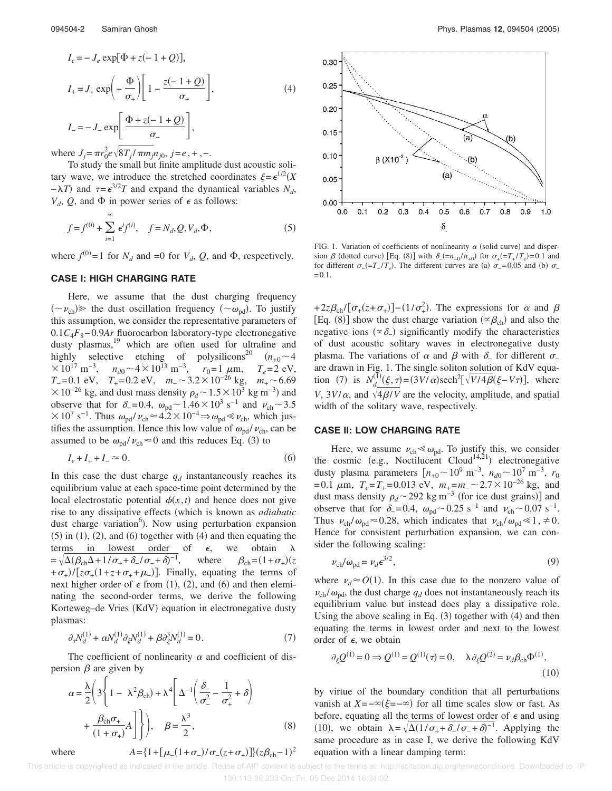$$
I_e = -J_e \exp[\Phi + z(-1 + Q)],
$$
  
\n
$$
I_+ = J_+ \exp\left(-\frac{\Phi}{\sigma_+}\right) \left[1 - \frac{z(-1 + Q)}{\sigma_+}\right],
$$
  
\n
$$
I_- = -J_- \exp\left[\frac{\Phi + z(-1 + Q)}{\sigma_-}\right],
$$
\n(4)

where  $J_j = \pi r_0^2 e^{\sqrt{8T_j / \pi m_j} n_{j0}, j = e, +, -$ .

To study the small but finite amplitude dust acoustic solitary wave, we introduce the stretched coordinates  $\xi = \epsilon^{1/2} (X)$  $-\lambda T$ ) and  $\tau = \epsilon^{3/2}T$  and expand the dynamical variables *N<sub>d</sub>*,  $V_d$ , *Q*, and  $\Phi$  in power series of  $\epsilon$  as follows:

$$
f = f^{(0)} + \sum_{i=1}^{\infty} \epsilon^i f^{(i)}, \quad f = N_d, Q, V_d, \Phi,
$$
 (5)

where  $f^{(0)} = 1$  for  $N_d$  and  $= 0$  for  $V_d$ ,  $Q$ , and  $\Phi$ , respectively.

#### **CASE I: HIGH CHARGING RATE**

Here, we assume that the dust charging frequency  $({\sim} \nu_{ch})$  the dust oscillation frequency  $({\sim} \omega_{pd})$ . To justify this assumption, we consider the representative parameters of 0.1*C*4*F*8−0.9*Ar* fluorocarbon laboratory-type electronegative dusty plasmas, $19$  which are often used for ultrafine and highly selective etching of polysilicons<sup>20</sup>  $(n_{+0} \sim 4$  $\times 10^{17}$  m<sup>-3</sup>,  $n_{d0} \sim 4 \times 10^{13}$  m<sup>-3</sup>,  $r_0 = 1$   $\mu$ m,  $T_e = 2$  eV, *T*<sub>−</sub> = 0.1 eV, *T*<sub>+</sub> = 0.2 eV, *m*<sub>−</sub>  $\sim$  3.2  $\times$  10<sup>-26</sup> kg, *m*<sub>+</sub>  $\sim$  6.69  $\times 10^{-26}$  kg, and dust mass density  $\rho_d$  ~  $1.5 \times 10^3$  kg m<sup>-3</sup>) and observe that for  $\delta$ <sub>-</sub>=0.4,  $\omega_{\text{pd}}$  ~ 1.46 × 10<sup>3</sup> s<sup>-1</sup> and  $\nu_{\text{ch}}$  ~ 3.5  $\times 10^7$  s<sup>-1</sup>. Thus  $\omega_{\text{pd}}/v_{\text{ch}} \approx 4.2 \times 10^{-4}$   $\Rightarrow \omega_{\text{pd}} \ll v_{\text{ch}}$ , which justifies the assumption. Hence this low value of  $\omega_{\text{pd}} / \nu_{\text{ch}}$ , can be assumed to be  $\omega_{pd}/v_{ch} \approx 0$  and this reduces Eq. (3) to

$$
I_e + I_+ + I_- \approx 0. \tag{6}
$$

In this case the dust charge  $q_d$  instantaneously reaches its equilibrium value at each space-time point determined by the local electrostatic potential  $\phi(x,t)$  and hence does not give rise to any dissipative effects (which is known as *adiabatic* dust charge variation<sup>6</sup>). Now using perturbation expansion  $(5)$  in  $(1)$ ,  $(2)$ , and  $(6)$  together with  $(4)$  and then equating the terms in lowest order of  $\epsilon$ , we obtain  $\lambda$  $=\sqrt{\Delta(\beta_{ch}\Delta+1/\sigma_{+}+\delta_{-}/\sigma_{-}+\delta)^{-1}}$ , where  $\beta_{ch}=(1+\sigma_{+})$ -*z*  $+\sigma_{+})/[z\sigma_{+}(1+z+\sigma_{+}+\mu_{-})]$ . Finally, equating the terms of next higher order of  $\epsilon$  from (1), (2), and (6) and then eleminating the second-order terms, we derive the following Korteweg-de Vries (KdV) equation in electronegative dusty plasmas:

$$
\partial_{\tau} N_d^{(1)} + \alpha N_d^{(1)} \partial_{\xi} N_d^{(1)} + \beta \partial_{\xi}^3 N_d^{(1)} = 0. \tag{7}
$$

The coefficient of nonlinearity  $\alpha$  and coefficient of dispersion  $\beta$  are given by

$$
\alpha = \frac{\lambda}{2} \left( 3 \left\{ 1 - \lambda^2 \beta_{ch} \right) + \lambda^4 \left[ \Delta^{-1} \left( \frac{\delta_-}{\sigma_-^2} - \frac{1}{\sigma_+^2} + \delta \right) \right. \right.
$$
\n
$$
\left. + \frac{\beta_{ch} \sigma_+}{(1 + \sigma_+)} A \right] \right\} \bigg), \quad \beta = \frac{\lambda^3}{2}, \tag{8}
$$
\nwhere

\n
$$
A = \left\{ 1 + \left[ \mu_- (1 + \sigma_-) / \sigma_- (z + \sigma_+) \right] \right\} (z \beta_{ch} - 1)^2
$$



FIG. 1. Variation of coefficients of nonlinearity  $\alpha$  (solid curve) and dispersion  $\beta$  (dotted curve) [Eq. (8)] with  $\delta_{-}(-n_{-0}/n_{+0})$  for  $\sigma_{+}(-T_{+}/T_e) = 0.1$  and for different  $\sigma_{-} (= T_{-}/T_e)$ . The different curves are (a)  $\sigma_{-} = 0.05$  and (b)  $\sigma_{-}$  $=0.1$ .

+2z $\beta_{ch}$ / $[\sigma_+(z+\sigma_+)]$  –  $(1/\sigma_+^2)$ . The expressions for  $\alpha$  and  $\beta$ [Eq. (8)] show the dust charge variation ( $\propto \beta_{ch}$ ) and also the negative ions  $(\infty \delta)$  significantly modify the characteristics of dust acoustic solitary waves in electronegative dusty plasma. The variations of  $\alpha$  and  $\beta$  with  $\delta$ <sub>-</sub> for different  $\sigma$ <sub>-</sub> are drawn in Fig. 1. The single soliton solution of KdV equation (7) is  $N_d^{(1)}(\xi, \tau) = (3V/\alpha)\text{sech}^2[\sqrt{V/4\beta}(\xi - V\tau)],$  where *V*,  $3V/\alpha$ , and  $\sqrt{4\beta/V}$  are the velocity, amplitude, and spatial width of the solitary wave, respectively.

### **CASE II: LOW CHARGING RATE**

Here, we assume  $\nu_{ch} \ll \omega_{pd}$ . To justify this, we consider the cosmic (e.g., Noctilucent Cloud<sup>14,21</sup>) electronegative dusty plasma parameters  $[n_{+0} \sim 10^9 \text{ m}^{-3}, n_{d0} \sim 10^7 \text{ m}^{-3}, r_0$  $=0.1 \mu m$ ,  $T_e = T_+ = 0.013 \text{ eV}$ ,  $m_+ = m_- \sim 2.7 \times 10^{-26} \text{ kg}$ , and dust mass density  $\rho_d \sim 292 \text{ kg m}^{-3}$  (for ice dust grains)] and observe that for  $\delta = 0.4$ ,  $\omega_{pd} \sim 0.25$  s<sup>-1</sup> and  $\nu_{ch} \sim 0.07$  s<sup>-1</sup>. Thus  $v_{ch} / \omega_{pd} \approx 0.28$ , which indicates that  $v_{ch} / \omega_{pd} \le 1$ ,  $\neq 0$ . Hence for consistent perturbation expansion, we can consider the following scaling:

$$
\nu_{\rm ch}/\omega_{\rm pd} = \nu_d \epsilon^{3/2},\tag{9}
$$

where  $\nu_d \approx O(1)$ . In this case due to the nonzero value of  $v_{ch}$  / $\omega_{pd}$ , the dust charge  $q_d$  does not instantaneously reach its equilibrium value but instead does play a dissipative role. Using the above scaling in Eq.  $(3)$  together with  $(4)$  and then equating the terms in lowest order and next to the lowest order of  $\epsilon$ , we obtain

$$
\partial_{\xi} Q^{(1)} = 0 \Rightarrow Q^{(1)} = Q^{(1)}(\tau) = 0, \quad \lambda \partial_{\xi} Q^{(2)} = \nu_d \beta_{\rm ch} \Phi^{(1)},
$$
\n(10)

by virtue of the boundary condition that all perturbations vanish at  $X = -\infty(\xi = -\infty)$  for all time scales slow or fast. As before, equating all the terms of lowest order of  $\epsilon$  and using (10), we obtain  $\lambda = \sqrt{\Delta(1/\sigma_+ + \delta_-/\sigma_- + \delta)^{-1}}$ . Applying the same procedure as in case I, we derive the following KdV equation with a linear damping term:

 This article is copyrighted as indicated in the article. Reuse of AIP content is subject to the terms at: http://scitation.aip.org/termsconditions. Downloaded to IP: 130.113.86.233 On: Fri, 05 Dec 2014 16:34:02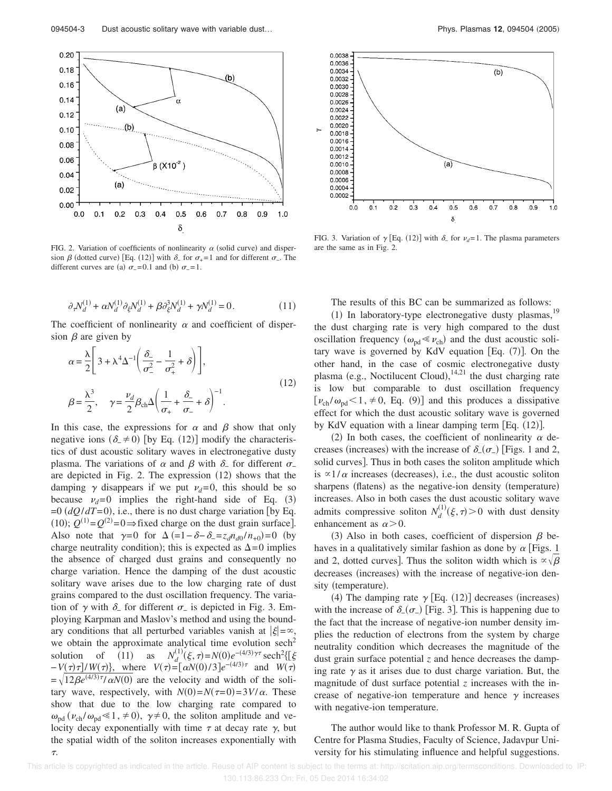

FIG. 2. Variation of coefficients of nonlinearity  $\alpha$  (solid curve) and dispersion  $\beta$  (dotted curve) [Eq. (12)] with  $\delta$  for  $\sigma$ <sub>+</sub>=1 and for different  $\sigma$ <sub>-</sub>. The different curves are (a)  $\sigma_- = 0.1$  and (b)  $\sigma_- = 1$ .

$$
\partial_{\tau} N_d^{(1)} + \alpha N_d^{(1)} \partial_{\xi} N_d^{(1)} + \beta \partial_{\xi}^3 N_d^{(1)} + \gamma N_d^{(1)} = 0. \tag{11}
$$

The coefficient of nonlinearity  $\alpha$  and coefficient of dispersion  $\beta$  are given by

$$
\alpha = \frac{\lambda}{2} \left[ 3 + \lambda^4 \Delta^{-1} \left( \frac{\delta_-}{\sigma_-^2} - \frac{1}{\sigma_+^2} + \delta \right) \right],
$$
  

$$
\beta = \frac{\lambda^3}{2}, \quad \gamma = \frac{\nu_d}{2} \beta_{\rm ch} \Delta \left( \frac{1}{\sigma_+} + \frac{\delta_-}{\sigma_-} + \delta \right)^{-1}.
$$
 (12)

In this case, the expressions for  $\alpha$  and  $\beta$  show that only negative ions  $(\delta \neq 0)$  [by Eq. (12)] modify the characteristics of dust acoustic solitary waves in electronegative dusty plasma. The variations of  $\alpha$  and  $\beta$  with  $\delta$ <sub>-</sub> for different  $\sigma$ <sub>-</sub> are depicted in Fig. 2. The expression  $(12)$  shows that the damping  $\gamma$  disappears if we put  $\nu_d=0$ , this should be so because  $v_d=0$  implies the right-hand side of Eq. (3)  $=0$  ( $dQ/dT=0$ ), i.e., there is no dust charge variation [by Eq. (10);  $Q^{(1)} = Q^{(2)} = 0$  ⇒ fixed charge on the dust grain surface]. Also note that  $\gamma=0$  for  $\Delta (=1-\delta-\delta_-=z_d n_{d0}/n_{+0})=0$  (by charge neutrality condition); this is expected as  $\Delta = 0$  implies the absence of charged dust grains and consequently no charge variation. Hence the damping of the dust acoustic solitary wave arises due to the low charging rate of dust grains compared to the dust oscillation frequency. The variation of  $\gamma$  with  $\delta$ <sub>-</sub> for different  $\sigma$ <sub>-</sub> is depicted in Fig. 3. Employing Karpman and Maslov's method and using the boundary conditions that all perturbed variables vanish at  $|\xi| = \infty$ , we obtain the approximate analytical time evolution  $sech<sup>2</sup>$ solution of  $(11)$ as  $N_d^{(1)}(\xi, \tau) = N(0) e^{-(4/3)\gamma \tau} \operatorname{sech}^2 {\mathcal{E}}$  $-V(\tau)\tau$ ]/*W*( $\tau$ ), where  $V(\tau) = [\alpha N(0)/3]e^{-(4/3)\tau}$  and *W*( $\tau$ )  $=\sqrt{12\beta e^{(4/3)\tau}/\alpha N(0)}$  are the velocity and width of the solitary wave, respectively, with  $N(0) = N(\tau = 0) = 3V/\alpha$ . These show that due to the low charging rate compared to  $\omega_{\text{pd}}$  ( $\nu_{\text{ch}} / \omega_{\text{pd}} \le 1$ ,  $\neq$  0),  $\gamma \ne 0$ , the soliton amplitude and velocity decay exponentially with time  $\tau$  at decay rate  $\gamma$ , but the spatial width of the soliton increases exponentially with .



FIG. 3. Variation of  $\gamma$  [Eq. (12)] with  $\delta$ <sub>-</sub> for  $\nu_d$ =1. The plasma parameters are the same as in Fig. 2.

The results of this BC can be summarized as follows:

(1) In laboratory-type electronegative dusty plasmas,  $19$ the dust charging rate is very high compared to the dust oscillation frequency ( $\omega_{pd} \ll \nu_{ch}$ ) and the dust acoustic solitary wave is governed by KdV equation  $[Eq. (7)]$ . On the other hand, in the case of cosmic electronegative dusty plasma (e.g., Noctilucent Cloud),  $14,21$  the dust charging rate is low but comparable to dust oscillation frequency  $[\nu_{ch} / \omega_{pd} < 1, \neq 0, \text{ Eq. (9)}]$  and this produces a dissipative effect for which the dust acoustic solitary wave is governed by KdV equation with a linear damping term [Eq. (12)].

(2) In both cases, the coefficient of nonlinearity  $\alpha$  decreases (increases) with the increase of  $\delta_{-}(\sigma_{-})$  [Figs. 1 and 2, solid curves]. Thus in both cases the soliton amplitude which is  $\propto$ 1/ $\alpha$  increases (decreases), i.e., the dust acoustic soliton sharpens (flatens) as the negative-ion density (temperature) increases. Also in both cases the dust acoustic solitary wave admits compressive soliton  $N_d^{(1)}(\xi, \tau) > 0$  with dust density enhancement as  $\alpha$  > 0.

(3) Also in both cases, coefficient of dispersion  $\beta$  behaves in a qualitatively similar fashion as done by  $\alpha$  [Figs. 1 and 2, dotted curves]. Thus the soliton width which is  $\alpha \sqrt{\beta}$ decreases (increases) with the increase of negative-ion density (temperature).

(4) The damping rate  $\gamma$  [Eq. (12)] decreases (increases) with the increase of  $\delta_{-}(\sigma_{-})$  [Fig. 3]. This is happening due to the fact that the increase of negative-ion number density implies the reduction of electrons from the system by charge neutrality condition which decreases the magnitude of the dust grain surface potential *z* and hence decreases the damping rate  $\gamma$  as it arises due to dust charge variation. But, the magnitude of dust surface potential *z* increases with the increase of negative-ion temperature and hence  $\gamma$  increases with negative-ion temperature.

The author would like to thank Professor M. R. Gupta of Centre for Plasma Studies, Faculty of Science, Jadavpur University for his stimulating influence and helpful suggestions.